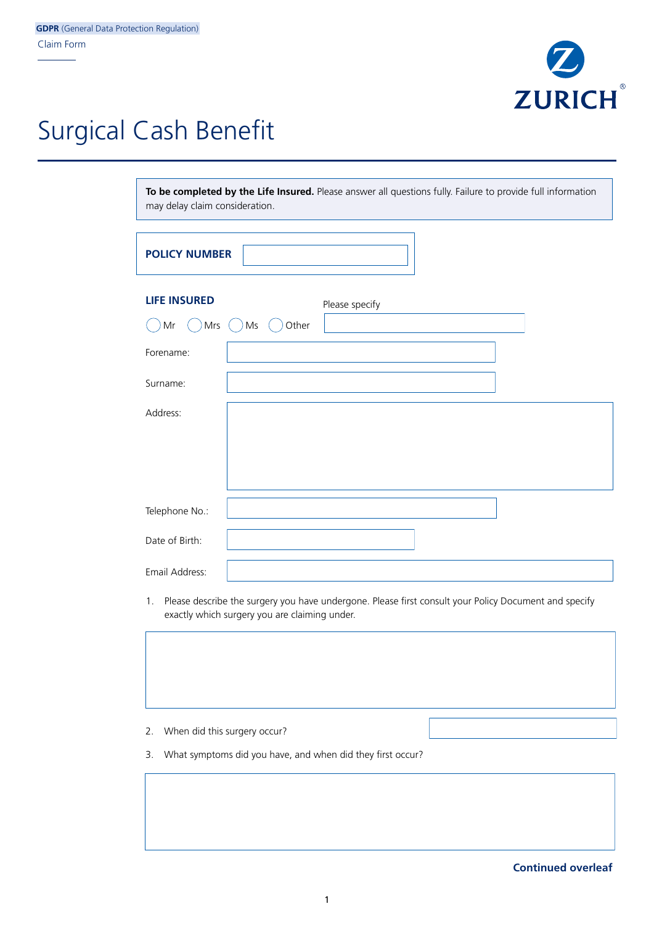

## Surgical Cash Benefit

**To be completed by the Life Insured.** Please answer all questions fully. Failure to provide full information may delay claim consideration.

| <b>POLICY NUMBER</b> |             |                |  |
|----------------------|-------------|----------------|--|
| <b>LIFE INSURED</b>  |             | Please specify |  |
| Mrs $()$<br>Mr       | Other<br>Ms |                |  |
| Forename:            |             |                |  |
| Surname:             |             |                |  |
| Address:             |             |                |  |
|                      |             |                |  |
|                      |             |                |  |
| Telephone No.:       |             |                |  |
| Date of Birth:       |             |                |  |
| Email Address:       |             |                |  |

1. Please describe the surgery you have undergone. Please first consult your Policy Document and specify exactly which surgery you are claiming under.

2. When did this surgery occur?

3. What symptoms did you have, and when did they first occur?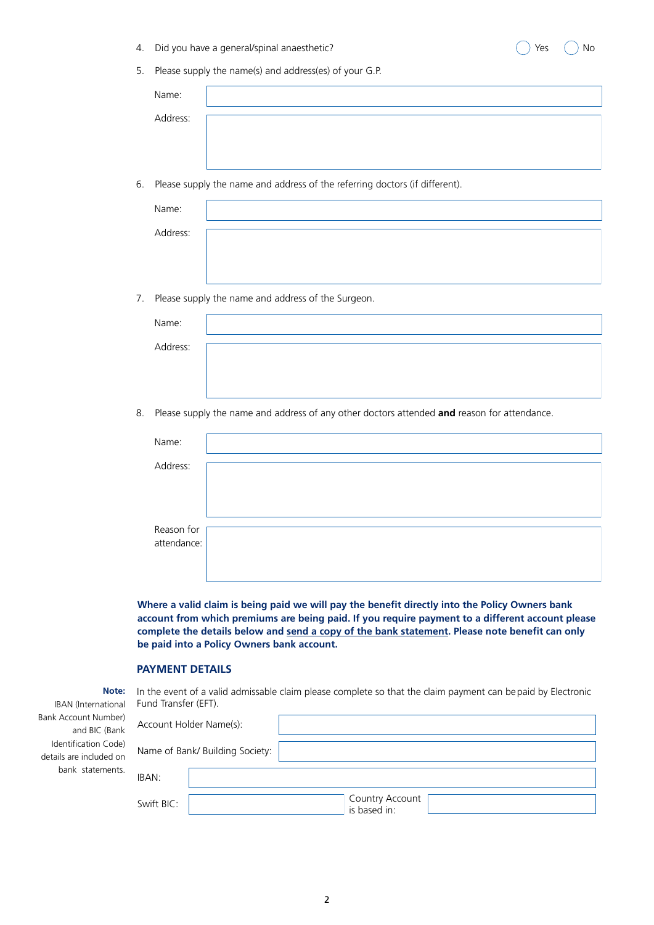- 4. Did you have a general/spinal anaesthetic?  $\bigcirc$   $\bigcirc$   $\bigcirc$   $\bigcirc$   $\bigcirc$   $\bigcirc$   $\bigcirc$   $\bigcirc$   $\bigcirc$   $\bigcirc$   $\bigcirc$   $\bigcirc$   $\bigcirc$
- 5. Please supply the name(s) and address(es) of your G.P.

| Name:    |  |
|----------|--|
| Address: |  |
|          |  |
|          |  |

6. Please supply the name and address of the referring doctors (if different).

| Name:    |  |
|----------|--|
| Address: |  |
|          |  |
|          |  |

7. Please supply the name and address of the Surgeon.

| Name:    |  |
|----------|--|
| Address: |  |
|          |  |

8. Please supply the name and address of any other doctors attended **and** reason for attendance.

| Name:       |  |
|-------------|--|
| Address:    |  |
|             |  |
|             |  |
|             |  |
| Reason for  |  |
| attendance: |  |
|             |  |
|             |  |

**Where a valid claim is being paid we will pay the benefit directly into the Policy Owners bank account from which premiums are being paid. If you require payment to a different account please complete the details below and send a copy of the bank statement. Please note benefit can only be paid into a Policy Owners bank account.**

## **PAYMENT DETAILS**

In the event of a valid admissable claim please complete so that the claim payment can be paid by Electronic Fund Transfer (EFT). **Note:** IBAN (International

| Bank Account Number)<br>and BIC (Bank           | Account Holder Name(s):                       |
|-------------------------------------------------|-----------------------------------------------|
| Identification Code)<br>details are included on | Name of Bank/ Building Society:               |
| bank statements.                                | IBAN:                                         |
|                                                 | Country Account<br>Swift BIC:<br>is based in: |